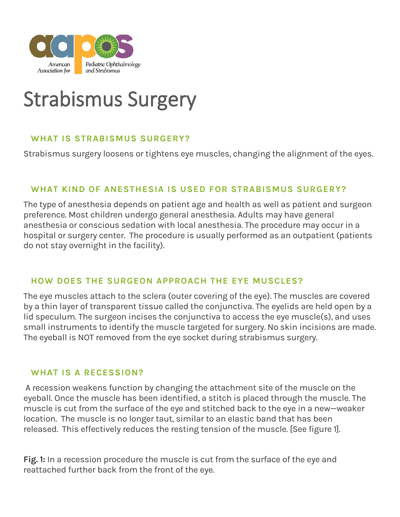

# Strabismus Surgery

# **WHAT IS STRABISMUS SURGERY?**

Strabismus surgery loosens or tightens eye muscles, changing the alignment of the eyes.

## **WHAT KIND OF ANESTHESIA IS USED FOR STRABISMUS SURGERY?**

The type of anesthesia depends on patient age and health as well as patient and surgeon preference. Most children undergo general anesthesia. Adults may have general anesthesia or conscious sedation with local anesthesia. The procedure may occur in a hospital or surgery center. The procedure is usually performed as an outpatient (patients do not stay overnight in the facility).

#### **HOW DOES THE SURGEON APPROACH THE EYE MUSCLES?**

The eye muscles attach to the sclera (outer covering of the eye). The muscles are covered by a thin layer of transparent tissue called the conjunctiva. The eyelids are held open by a lid speculum. The surgeon incises the conjunctiva to access the eye muscle(s), and uses small instruments to identify the muscle targeted for surgery. No skin incisions are made. The eyeball is NOT removed from the eye socket during strabismus surgery.

#### **WHAT IS A RECESSION?**

A recession weakens function by changing the attachment site of the muscle on the eyeball. Once the muscle has been identified, a stitch is placed through the muscle. The muscle is cut from the surface of the eye and stitched back to the eye in a new—weaker location. The muscle is no longer taut, similar to an elastic band that has been released. This effectively reduces the resting tension of the muscle. [See figure 1].

**Fig. 1:** In a recession procedure the muscle is cut from the surface of the eye and reattached further back from the front of the eye.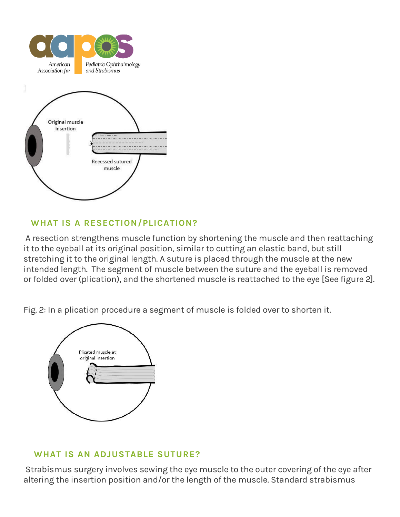

# **WHAT IS A RESECTION/PLICATION?**

A resection strengthens muscle function by shortening the muscle and then reattaching it to the eyeball at its original position, similar to cutting an elastic band, but still stretching it to the original length. A suture is placed through the muscle at the new intended length. The segment of muscle between the suture and the eyeball is removed or folded over (plication), and the shortened muscle is reattached to the eye [See figure 2].

Fig. 2: In a plication procedure a segment of muscle is folded over to shorten it.



## **WHAT IS AN ADJUSTABLE SUTURE?**

Strabismus surgery involves sewing the eye muscle to the outer covering of the eye after altering the insertion position and/or the length of the muscle. Standard strabismus